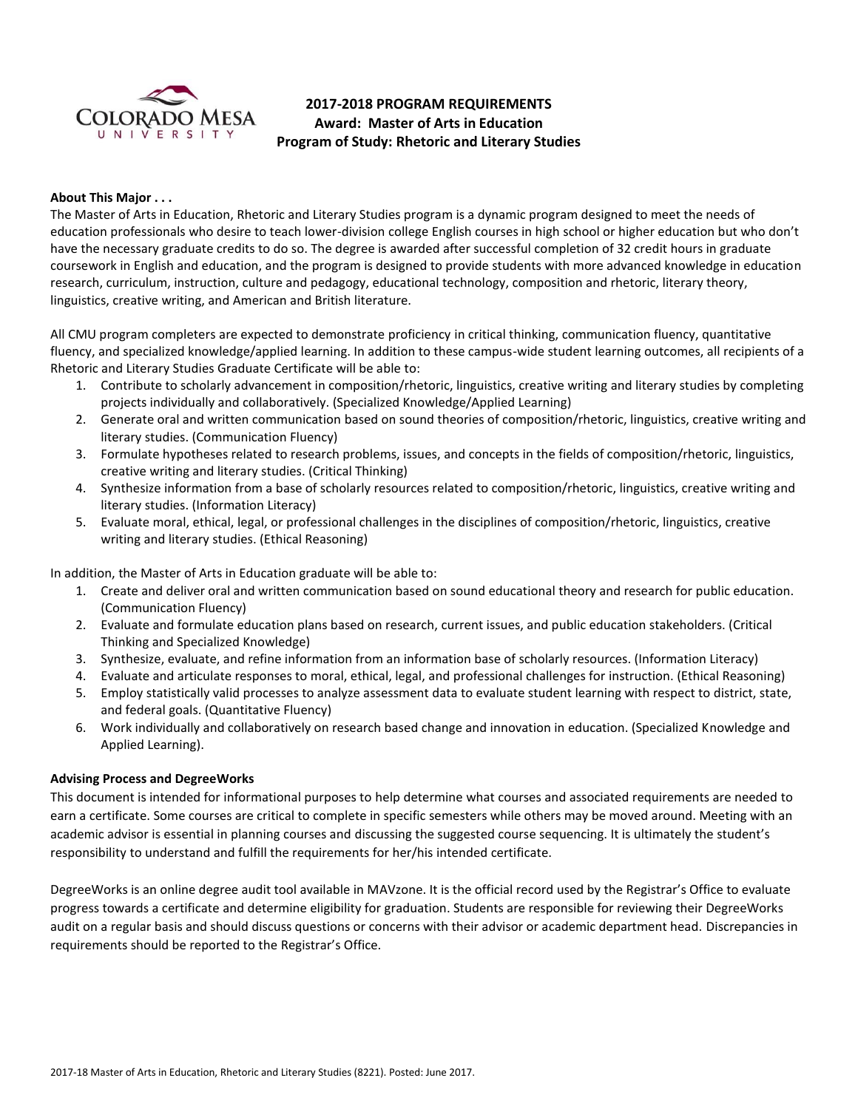

# **2017-2018 PROGRAM REQUIREMENTS Award: Master of Arts in Education Program of Study: Rhetoric and Literary Studies**

# **About This Major . . .**

The Master of Arts in Education, Rhetoric and Literary Studies program is a dynamic program designed to meet the needs of education professionals who desire to teach lower-division college English courses in high school or higher education but who don't have the necessary graduate credits to do so. The degree is awarded after successful completion of 32 credit hours in graduate coursework in English and education, and the program is designed to provide students with more advanced knowledge in education research, curriculum, instruction, culture and pedagogy, educational technology, composition and rhetoric, literary theory, linguistics, creative writing, and American and British literature.

All CMU program completers are expected to demonstrate proficiency in critical thinking, communication fluency, quantitative fluency, and specialized knowledge/applied learning. In addition to these campus-wide student learning outcomes, all recipients of a Rhetoric and Literary Studies Graduate Certificate will be able to:

- 1. Contribute to scholarly advancement in composition/rhetoric, linguistics, creative writing and literary studies by completing projects individually and collaboratively. (Specialized Knowledge/Applied Learning)
- 2. Generate oral and written communication based on sound theories of composition/rhetoric, linguistics, creative writing and literary studies. (Communication Fluency)
- 3. Formulate hypotheses related to research problems, issues, and concepts in the fields of composition/rhetoric, linguistics, creative writing and literary studies. (Critical Thinking)
- 4. Synthesize information from a base of scholarly resources related to composition/rhetoric, linguistics, creative writing and literary studies. (Information Literacy)
- 5. Evaluate moral, ethical, legal, or professional challenges in the disciplines of composition/rhetoric, linguistics, creative writing and literary studies. (Ethical Reasoning)

In addition, the Master of Arts in Education graduate will be able to:

- 1. Create and deliver oral and written communication based on sound educational theory and research for public education. (Communication Fluency)
- 2. Evaluate and formulate education plans based on research, current issues, and public education stakeholders. (Critical Thinking and Specialized Knowledge)
- 3. Synthesize, evaluate, and refine information from an information base of scholarly resources. (Information Literacy)
- 4. Evaluate and articulate responses to moral, ethical, legal, and professional challenges for instruction. (Ethical Reasoning)
- 5. Employ statistically valid processes to analyze assessment data to evaluate student learning with respect to district, state, and federal goals. (Quantitative Fluency)
- 6. Work individually and collaboratively on research based change and innovation in education. (Specialized Knowledge and Applied Learning).

# **Advising Process and DegreeWorks**

This document is intended for informational purposes to help determine what courses and associated requirements are needed to earn a certificate. Some courses are critical to complete in specific semesters while others may be moved around. Meeting with an academic advisor is essential in planning courses and discussing the suggested course sequencing. It is ultimately the student's responsibility to understand and fulfill the requirements for her/his intended certificate.

DegreeWorks is an online degree audit tool available in MAVzone. It is the official record used by the Registrar's Office to evaluate progress towards a certificate and determine eligibility for graduation. Students are responsible for reviewing their DegreeWorks audit on a regular basis and should discuss questions or concerns with their advisor or academic department head. Discrepancies in requirements should be reported to the Registrar's Office.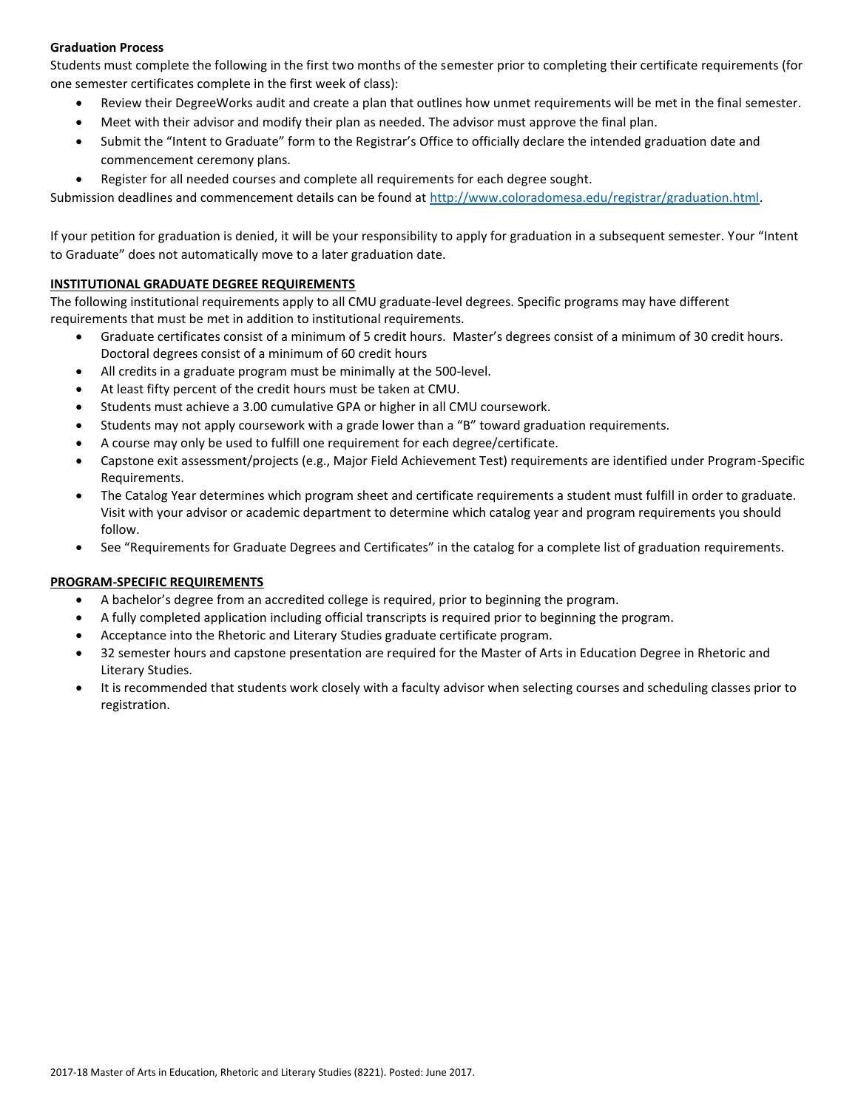# **Graduation Process**

Students must complete the following in the first two months of the semester prior to completing their certificate requirements (for one semester certificates complete in the first week of class):

- Review their DegreeWorks audit and create a plan that outlines how unmet requirements will be met in the final semester.
- Meet with their advisor and modify their plan as needed. The advisor must approve the final plan.
- Submit the "Intent to Graduate" form to the Registrar's Office to officially declare the intended graduation date and commencement ceremony plans.
- Register for all needed courses and complete all requirements for each degree sought.

Submission deadlines and commencement details can be found at [http://www.coloradomesa.edu/registrar/graduation.html.](http://www.coloradomesa.edu/registrar/graduation.html)

If your petition for graduation is denied, it will be your responsibility to apply for graduation in a subsequent semester. Your "Intent to Graduate" does not automatically move to a later graduation date.

# **INSTITUTIONAL GRADUATE DEGREE REQUIREMENTS**

The following institutional requirements apply to all CMU graduate-level degrees. Specific programs may have different requirements that must be met in addition to institutional requirements.

- Graduate certificates consist of a minimum of 5 credit hours. Master's degrees consist of a minimum of 30 credit hours. Doctoral degrees consist of a minimum of 60 credit hours
- All credits in a graduate program must be minimally at the 500-level.
- At least fifty percent of the credit hours must be taken at CMU.
- Students must achieve a 3.00 cumulative GPA or higher in all CMU coursework.
- Students may not apply coursework with a grade lower than a "B" toward graduation requirements.
- A course may only be used to fulfill one requirement for each degree/certificate.
- Capstone exit assessment/projects (e.g., Major Field Achievement Test) requirements are identified under Program-Specific Requirements.
- The Catalog Year determines which program sheet and certificate requirements a student must fulfill in order to graduate. Visit with your advisor or academic department to determine which catalog year and program requirements you should follow.
- See "Requirements for Graduate Degrees and Certificates" in the catalog for a complete list of graduation requirements.

# **PROGRAM-SPECIFIC REQUIREMENTS**

- A bachelor's degree from an accredited college is required, prior to beginning the program.
- A fully completed application including official transcripts is required prior to beginning the program.
- Acceptance into the Rhetoric and Literary Studies graduate certificate program.
- 32 semester hours and capstone presentation are required for the Master of Arts in Education Degree in Rhetoric and Literary Studies.
- It is recommended that students work closely with a faculty advisor when selecting courses and scheduling classes prior to registration.